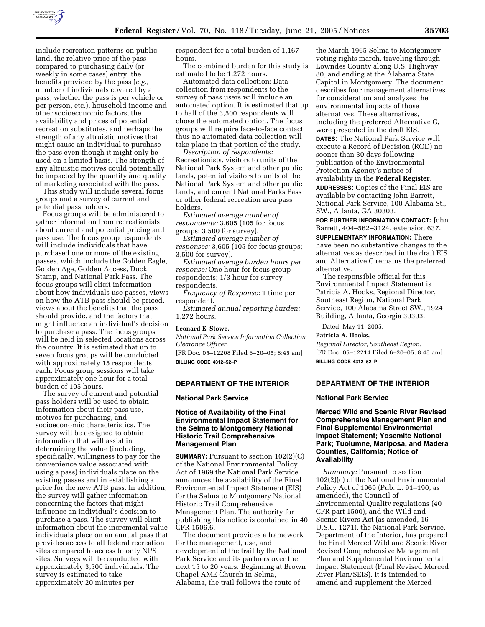

include recreation patterns on public land, the relative price of the pass compared to purchasing daily (or weekly in some cases) entry, the benefits provided by the pass (*e.g.*, number of individuals covered by a pass, whether the pass is per vehicle or per person, etc.), household income and other socioeconomic factors, the availability and prices of potential recreation substitutes, and perhaps the strength of any altruistic motives that might cause an individual to purchase the pass even though it might only be used on a limited basis. The strength of any altruistic motives could potentially be impacted by the quantity and quality of marketing associated with the pass.

This study will include several focus groups and a survey of current and potential pass holders.

Focus groups will be administered to gather information from recreationists about current and potential pricing and pass use. The focus group respondents will include individuals that have purchased one or more of the existing passes, which include the Golden Eagle, Golden Age, Golden Access, Duck Stamp, and National Park Pass. The focus groups will elicit information about how individuals use passes, views on how the ATB pass should be priced, views about the benefits that the pass should provide, and the factors that might influence an individual's decision to purchase a pass. The focus groups will be held in selected locations across the country. It is estimated that up to seven focus groups will be conducted with approximately 15 respondents each. Focus group sessions will take approximately one hour for a total burden of 105 hours.

The survey of current and potential pass holders will be used to obtain information about their pass use, motives for purchasing, and socioeconomic characteristics. The survey will be designed to obtain information that will assist in determining the value (including, specifically, willingness to pay for the convenience value associated with using a pass) individuals place on the existing passes and in establishing a price for the new ATB pass. In addition, the survey will gather information concerning the factors that might influence an individual's decision to purchase a pass. The survey will elicit information about the incremental value individuals place on an annual pass that provides access to all federal recreation sites compared to access to only NPS sites. Surveys will be conducted with approximately 3,500 individuals. The survey is estimated to take approximately 20 minutes per

respondent for a total burden of 1,167 hours.

The combined burden for this study is estimated to be 1,272 hours.

Automated data collection: Data collection from respondents to the survey of pass users will include an automated option. It is estimated that up to half of the 3,500 respondents will chose the automated option. The focus groups will require face-to-face contact thus no automated data collection will take place in that portion of the study.

*Description of respondents:* Recreationists, visitors to units of the National Park System and other public lands, potential visitors to units of the National Park System and other public lands, and current National Parks Pass or other federal recreation area pass holders.

*Estimated average number of respondents:* 3,605 (105 for focus groups; 3,500 for survey).

*Estimated average number of responses:* 3,605 (105 for focus groups; 3,500 for survey).

*Estimated average burden hours per response:* One hour for focus group respondents; 1/3 hour for survey respondents.

*Frequency of Response:* 1 time per respondent.

*Estimated annual reporting burden:* 1,272 hours.

#### **Leonard E. Stowe,**

*National Park Service Information Collection Clearance Officer.* [FR Doc. 05–12208 Filed 6–20–05; 8:45 am] **BILLING CODE 4312–52–P**

## **DEPARTMENT OF THE INTERIOR**

#### **National Park Service**

## **Notice of Availability of the Final Environmental Impact Statement for the Selma to Montgomery National Historic Trail Comprehensive Management Plan**

**SUMMARY:** Pursuant to section 102(2)(C) of the National Environmental Policy Act of 1969 the National Park Service announces the availability of the Final Environmental Impact Statement (EIS) for the Selma to Montgomery National Historic Trail Comprehensive Management Plan. The authority for publishing this notice is contained in 40 CFR 1506.6.

The document provides a framework for the management, use, and development of the trail by the National Park Service and its partners over the next 15 to 20 years. Beginning at Brown Chapel AME Church in Selma, Alabama, the trail follows the route of

the March 1965 Selma to Montgomery voting rights march, traveling through Lowndes County along U.S. Highway 80, and ending at the Alabama State Capitol in Montgomery. The document describes four management alternatives for consideration and analyzes the environmental impacts of those alternatives. These alternatives, including the preferred Alternative C, were presented in the draft EIS. **DATES:** The National Park Service will execute a Record of Decision (ROD) no sooner than 30 days following publication of the Environmental Protection Agency's notice of availability in the **Federal Register**. **ADDRESSES:** Copies of the Final EIS are available by contacting John Barrett, National Park Service, 100 Alabama St., SW., Atlanta, GA 30303.

**FOR FURTHER INFORMATION CONTACT:** John Barrett, 404–562–3124, extension 637.

**SUPPLEMENTARY INFORMATION:** There have been no substantive changes to the alternatives as described in the draft EIS and Alternative C remains the preferred alternative.

The responsible official for this Environmental Impact Statement is Patricia A. Hooks, Regional Director, Southeast Region, National Park Service, 100 Alabama Street SW., 1924 Building, Atlanta, Georgia 30303.

Dated: May 11, 2005.

# **Patricia A. Hooks,**

*Regional Director, Southeast Region.* [FR Doc. 05–12214 Filed 6–20–05; 8:45 am] **BILLING CODE 4312–52–P**

# **DEPARTMENT OF THE INTERIOR**

### **National Park Service**

**Merced Wild and Scenic River Revised Comprehensive Management Plan and Final Supplemental Environmental Impact Statement; Yosemite National Park; Tuolumne, Mariposa, and Madera Counties, California; Notice of Availability** 

*Summary:* Pursuant to section 102(2)(c) of the National Environmental Policy Act of 1969 (Pub. L. 91–190, as amended), the Council of Environmental Quality regulations (40 CFR part 1500), and the Wild and Scenic Rivers Act (as amended, 16 U.S.C. 1271), the National Park Service, Department of the Interior, has prepared the Final Merced Wild and Scenic River Revised Comprehensive Management Plan and Supplemental Environmental Impact Statement (Final Revised Merced River Plan/SEIS). It is intended to amend and supplement the Merced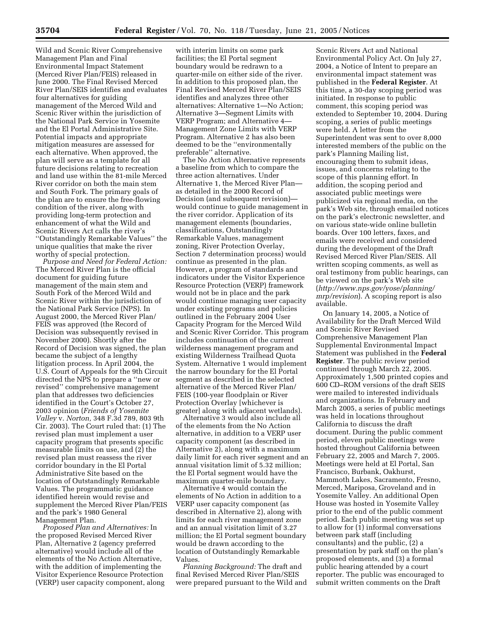Wild and Scenic River Comprehensive Management Plan and Final Environmental Impact Statement (Merced River Plan/FEIS) released in June 2000. The Final Revised Merced River Plan/SEIS identifies and evaluates four alternatives for guiding management of the Merced Wild and Scenic River within the jurisdiction of the National Park Service in Yosemite and the El Portal Administrative Site. Potential impacts and appropriate mitigation measures are assessed for each alternative. When approved, the plan will serve as a template for all future decisions relating to recreation and land use within the 81-mile Merced River corridor on both the main stem and South Fork. The primary goals of the plan are to ensure the free-flowing condition of the river, along with providing long-term protection and enhancement of what the Wild and Scenic Rivers Act calls the river's ''Outstandingly Remarkable Values'' the unique qualities that make the river worthy of special protection.

*Purpose and Need for Federal Action:* The Merced River Plan is the official document for guiding future management of the main stem and South Fork of the Merced Wild and Scenic River within the jurisdiction of the National Park Service (NPS). In August 2000, the Merced River Plan/ FEIS was approved (the Record of Decision was subsequently revised in November 2000). Shortly after the Record of Decision was signed, the plan became the subject of a lengthy litigation process. In April 2004, the U.S. Court of Appeals for the 9th Circuit directed the NPS to prepare a ''new or revised'' comprehensive management plan that addresses two deficiencies identified in the Court's October 27, 2003 opinion (*Friends of Yosemite Valley* v. *Norton,* 348 F.3d 789, 803 9th Cir. 2003). The Court ruled that: (1) The revised plan must implement a user capacity program that presents specific measurable limits on use, and (2) the revised plan must reassess the river corridor boundary in the El Portal Administrative Site based on the location of Outstandingly Remarkable Values. The programmatic guidance identified herein would revise and supplement the Merced River Plan/FEIS and the park's 1980 General Management Plan.

*Proposed Plan and Alternatives:* In the proposed Revised Merced River Plan, Alternative 2 (agency preferred alternative) would include all of the elements of the No Action Alternative, with the addition of implementing the Visitor Experience Resource Protection (VERP) user capacity component, along

with interim limits on some park facilities; the El Portal segment boundary would be redrawn to a quarter-mile on either side of the river. In addition to this proposed plan, the Final Revised Merced River Plan/SEIS identifies and analyzes three other alternatives: Alternative 1—No Action; Alternative 3—Segment Limits with VERP Program; and Alternative 4— Management Zone Limits with VERP Program. Alternative 2 has also been deemed to be the ''environmentally preferable'' alternative.

The No Action Alternative represents a baseline from which to compare the three action alternatives. Under Alternative 1, the Merced River Plan as detailed in the 2000 Record of Decision (and subsequent revision) would continue to guide management in the river corridor. Application of its management elements (boundaries, classifications, Outstandingly Remarkable Values, management zoning, River Protection Overlay, Section 7 determination process) would continue as presented in the plan. However, a program of standards and indicators under the Visitor Experience Resource Protection (VERP) framework would not be in place and the park would continue managing user capacity under existing programs and policies outlined in the February 2004 User Capacity Program for the Merced Wild and Scenic River Corridor. This program includes continuation of the current wilderness management program and existing Wilderness Trailhead Quota System. Alternative 1 would implement the narrow boundary for the El Portal segment as described in the selected alternative of the Merced River Plan/ FEIS (100-year floodplain or River Protection Overlay [whichever is greater] along with adjacent wetlands).

Alternative 3 would also include all of the elements from the No Action alternative, in addition to a VERP user capacity component (as described in Alternative 2), along with a maximum daily limit for each river segment and an annual visitation limit of 5.32 million; the El Portal segment would have the maximum quarter-mile boundary.

Alternative 4 would contain the elements of No Action in addition to a VERP user capacity component (as described in Alternative 2), along with limits for each river management zone and an annual visitation limit of 3.27 million; the El Portal segment boundary would be drawn according to the location of Outstandingly Remarkable Values.

*Planning Background:* The draft and final Revised Merced River Plan/SEIS were prepared pursuant to the Wild and

Scenic Rivers Act and National Environmental Policy Act. On July 27, 2004, a Notice of Intent to prepare an environmental impact statement was published in the **Federal Register**. At this time, a 30-day scoping period was initiated. In response to public comment, this scoping period was extended to September 10, 2004. During scoping, a series of public meetings were held. A letter from the Superintendent was sent to over 8,000 interested members of the public on the park's Planning Mailing list, encouraging them to submit ideas, issues, and concerns relating to the scope of this planning effort. In addition, the scoping period and associated public meetings were publicized via regional media, on the park's Web site, through emailed notices on the park's electronic newsletter, and on various state-wide online bulletin boards. Over 100 letters, faxes, and emails were received and considered during the development of the Draft Revised Merced River Plan/SEIS. All written scoping comments, as well as oral testimony from public hearings, can be viewed on the park's Web site (*http://www.nps.gov/yose/planning/ mrp/revision*). A scoping report is also available.

On January 14, 2005, a Notice of Availability for the Draft Merced Wild and Scenic River Revised Comprehensive Management Plan Supplemental Environmental Impact Statement was published in the **Federal Register**. The public review period continued through March 22, 2005. Approximately 1,500 printed copies and 600 CD–ROM versions of the draft SEIS were mailed to interested individuals and organizations. In February and March 2005, a series of public meetings was held in locations throughout California to discuss the draft document. During the public comment period, eleven public meetings were hosted throughout California between February 22, 2005 and March 7, 2005. Meetings were held at El Portal, San Francisco, Burbank, Oakhurst, Mammoth Lakes, Sacramento, Fresno, Merced, Mariposa, Groveland and in Yosemite Valley. An additional Open House was hosted in Yosemite Valley prior to the end of the public comment period. Each public meeting was set up to allow for (1) informal conversations between park staff (including consultants) and the public, (2) a presentation by park staff on the plan's proposed elements, and (3) a formal public hearing attended by a court reporter. The public was encouraged to submit written comments on the Draft